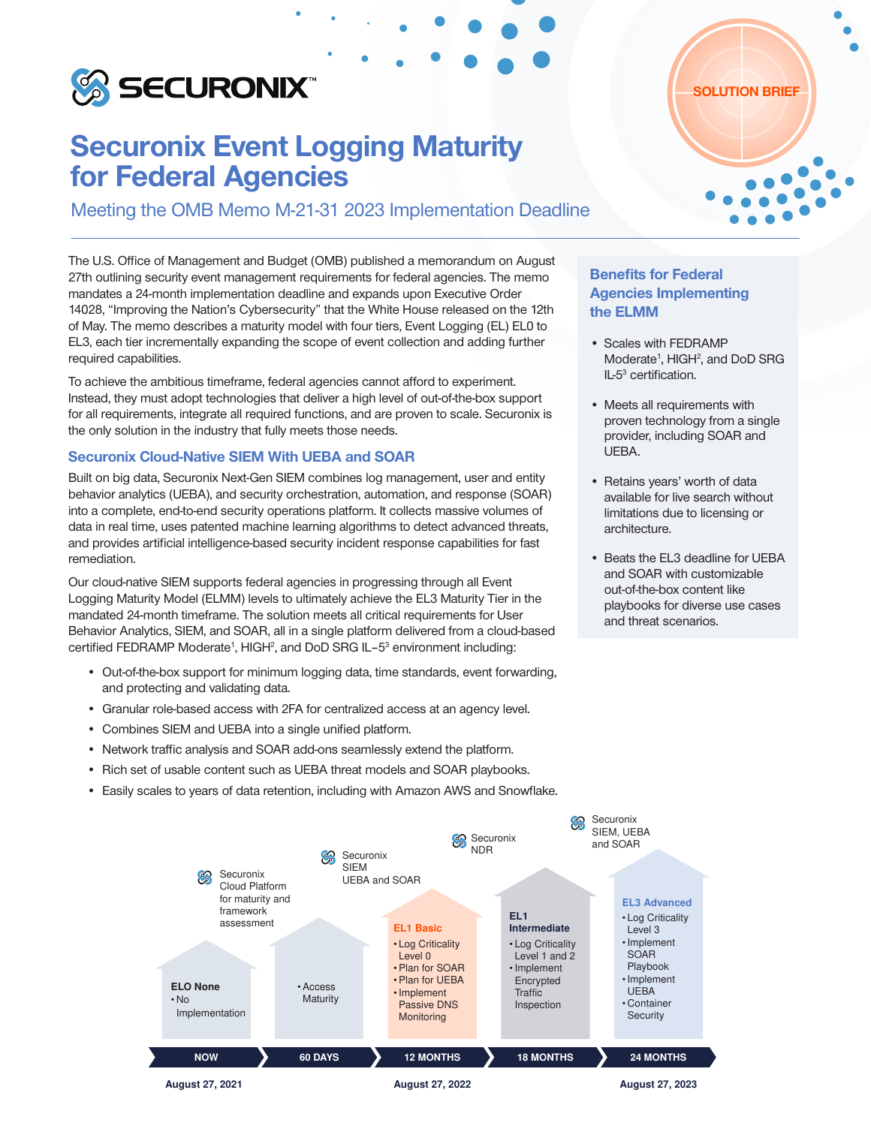

# Securonix Event Logging Maturity for Federal Agencies

# Meeting the OMB Memo M-21-31 2023 Implementation Deadline

The U.S. Office of Management and Budget (OMB) published a memorandum on August 27th outlining security event management requirements for federal agencies. The memo mandates a 24-month implementation deadline and expands upon Executive Order 14028, "Improving the Nation's Cybersecurity" that the White House released on the 12th of May. The memo describes a maturity model with four tiers, Event Logging (EL) EL0 to EL3, each tier incrementally expanding the scope of event collection and adding further required capabilities.

To achieve the ambitious timeframe, federal agencies cannot afford to experiment. Instead, they must adopt technologies that deliver a high level of out-of-the-box support for all requirements, integrate all required functions, and are proven to scale. Securonix is the only solution in the industry that fully meets those needs.

#### Securonix Cloud-Native SIEM With UEBA and SOAR

Built on big data, Securonix Next-Gen SIEM combines log management, user and entity behavior analytics (UEBA), and security orchestration, automation, and response (SOAR) into a complete, end-to-end security operations platform. It collects massive volumes of data in real time, uses patented machine learning algorithms to detect advanced threats, and provides artificial intelligence-based security incident response capabilities for fast remediation.

Our cloud-native SIEM supports federal agencies in progressing through all Event Logging Maturity Model (ELMM) levels to ultimately achieve the EL3 Maturity Tier in the mandated 24-month timeframe. The solution meets all critical requirements for User Behavior Analytics, SIEM, and SOAR, all in a single platform delivered from a cloud-based certified FEDRAMP Moderate<sup>1</sup>, HIGH<sup>2</sup>, and DoD SRG IL-5<sup>3</sup> environment including:

- Out-of-the-box support for minimum logging data, time standards, event forwarding, and protecting and validating data.
- Granular role-based access with 2FA for centralized access at an agency level.
- Combines SIEM and UEBA into a single unified platform.
- Network traffic analysis and SOAR add-ons seamlessly extend the platform.
- Rich set of usable content such as UEBA threat models and SOAR playbooks.
- Easily scales to years of data retention, including with Amazon AWS and Snowflake.





# Benefits for Federal Agencies Implementing the ELMM

- Scales with FEDRAMP Moderate<sup>1</sup>, HIGH<sup>2</sup>, and DoD SRG IL-5<sup>3</sup> certification.
- Meets all requirements with proven technology from a single provider, including SOAR and UEBA.
- Retains years' worth of data available for live search without limitations due to licensing or architecture.
- Beats the EL3 deadline for UEBA and SOAR with customizable out-of-the-box content like playbooks for diverse use cases and threat scenarios.